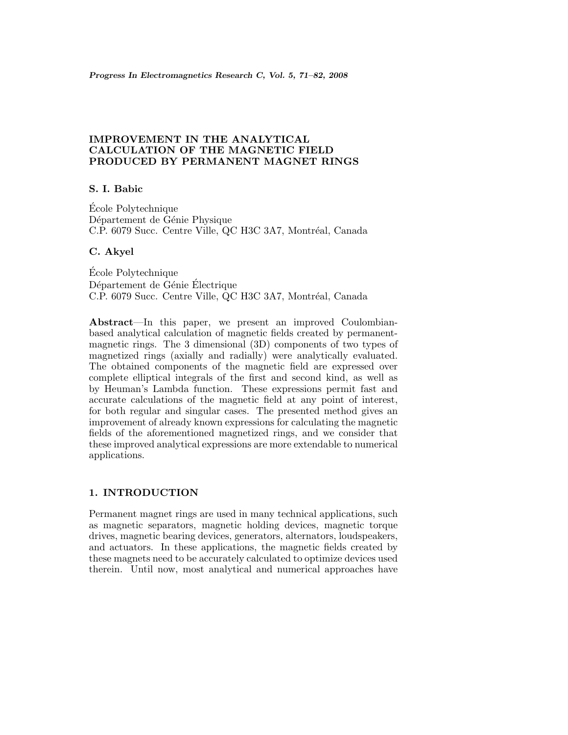# **IMPROVEMENT IN THE ANALYTICAL CALCULATION OF THE MAGNETIC FIELD PRODUCED BY PERMANENT MAGNET RINGS**

# **S. I. Babic**

Ecole Polytechnique ´ Département de Génie Physique C.P. 6079 Succ. Centre Ville, QC H3C 3A7, Montréal, Canada

## **C. Akyel**

Ecole Polytechnique ´ Département de Génie Électrique C.P. 6079 Succ. Centre Ville, QC H3C 3A7, Montréal, Canada

Abstract—In this paper, we present an improved Coulombianbased analytical calculation of magnetic fields created by permanentmagnetic rings. The 3 dimensional (3D) components of two types of magnetized rings (axially and radially) were analytically evaluated. The obtained components of the magnetic field are expressed over complete elliptical integrals of the first and second kind, as well as by Heuman's Lambda function. These expressions permit fast and accurate calculations of the magnetic field at any point of interest, for both regular and singular cases. The presented method gives an improvement of already known expressions for calculating the magnetic fields of the aforementioned magnetized rings, and we consider that these improved analytical expressions are more extendable to numerical applications.

# **1. INTRODUCTION**

Permanent magnet rings are used in many technical applications, such as magnetic separators, magnetic holding devices, magnetic torque drives, magnetic bearing devices, generators, alternators, loudspeakers, and actuators. In these applications, the magnetic fields created by these magnets need to be accurately calculated to optimize devices used therein. Until now, most analytical and numerical approaches have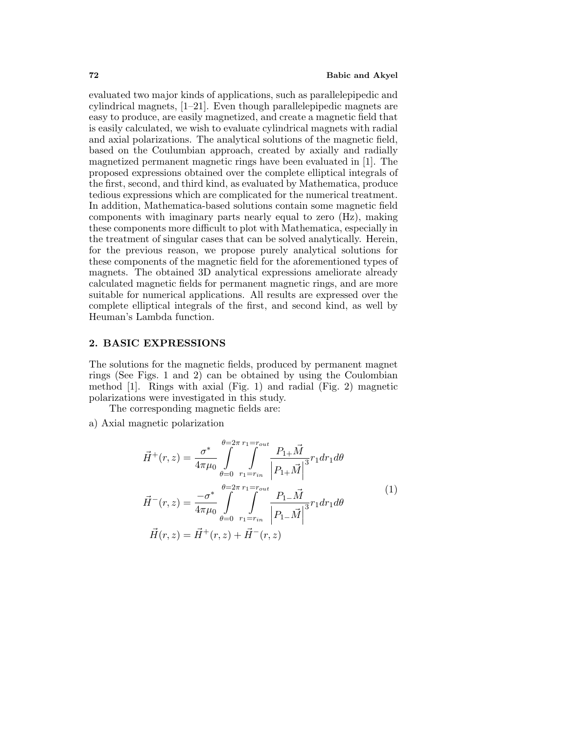evaluated two major kinds of applications, such as parallelepipedic and cylindrical magnets,[1–21]. Even though parallelepipedic magnets are easy to produce, are easily magnetized, and create a magnetic field that is easily calculated, we wish to evaluate cylindrical magnets with radial and axial polarizations. The analytical solutions of the magnetic field, based on the Coulumbian approach, created by axially and radially magnetized permanent magnetic rings have been evaluated in [1]. The proposed expressions obtained over the complete elliptical integrals of the first, second, and third kind, as evaluated by Mathematica, produce tedious expressions which are complicated for the numerical treatment. In addition, Mathematica-based solutions contain some magnetic field components with imaginary parts nearly equal to zero  $(Hz)$ , making these components more difficult to plot with Mathematica, especially in the treatment of singular cases that can be solved analytically. Herein, for the previous reason, we propose purely analytical solutions for these components of the magnetic field for the aforementioned types of magnets. The obtained 3D analytical expressions ameliorate already calculated magnetic fields for permanent magnetic rings, and are more suitable for numerical applications. All results are expressed over the complete elliptical integrals of the first, and second kind, as well by Heuman's Lambda function.

## **2. BASIC EXPRESSIONS**

The solutions for the magnetic fields, produced by permanent magnet rings (See Figs. 1 and 2) can be obtained by using the Coulombian method [1]. Rings with axial (Fig. 1) and radial (Fig. 2) magnetic polarizations were investigated in this study.

The corresponding magnetic fields are:

a) Axial magnetic polarization

$$
\vec{H}^{+}(r,z) = \frac{\sigma^{*}}{4\pi\mu_{0}} \int_{\theta=0}^{\theta=2\pi} \int_{r_{1}=r_{in}}^{r_{1}=r_{out}} \frac{P_{1+}\vec{M}}{\left|P_{1+}\vec{M}\right|^{3}} r_{1} dr_{1} d\theta
$$
\n
$$
\vec{H}^{-}(r,z) = \frac{-\sigma^{*}}{4\pi\mu_{0}} \int_{\theta=0}^{\theta=2\pi} \int_{r_{1}=r_{in}}^{r_{1}=r_{out}} \frac{P_{1-}\vec{M}}{\left|P_{1-}\vec{M}\right|^{3}} r_{1} dr_{1} d\theta
$$
\n
$$
\vec{H}(r,z) = \vec{H}^{+}(r,z) + \vec{H}^{-}(r,z)
$$
\n(1)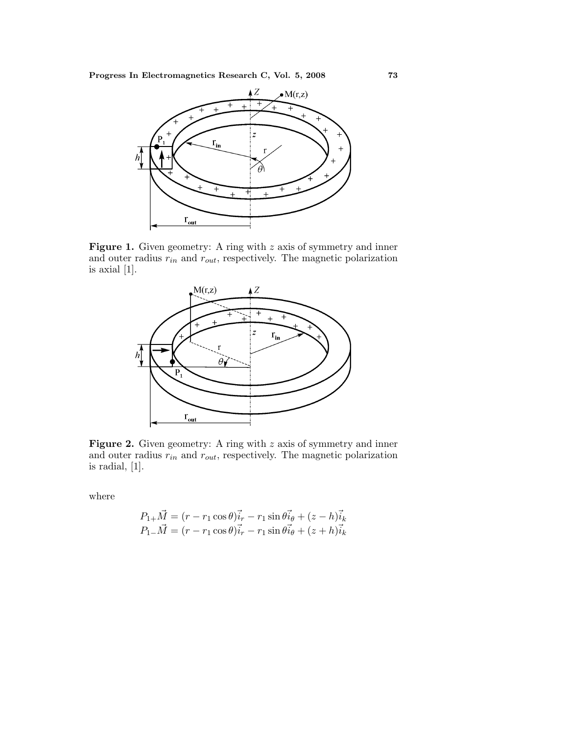**Progress In Electromagnetics Research C, Vol. 5, 2008 73**



Figure 1. Given geometry: A ring with z axis of symmetry and inner and outer radius  $r_{in}$  and  $r_{out}$ , respectively. The magnetic polarization is axial [1].



Figure 2. Given geometry: A ring with z axis of symmetry and inner and outer radius  $r_{in}$  and  $r_{out}$ , respectively. The magnetic polarization is radial,  $[1]$ .

where

$$
P_{1+}\vec{M} = (r - r_1 \cos \theta)\vec{i}_r - r_1 \sin \theta \vec{i}_\theta + (z - h)\vec{i}_k
$$
  

$$
P_{1-}\vec{M} = (r - r_1 \cos \theta)\vec{i}_r - r_1 \sin \theta \vec{i}_\theta + (z + h)\vec{i}_k
$$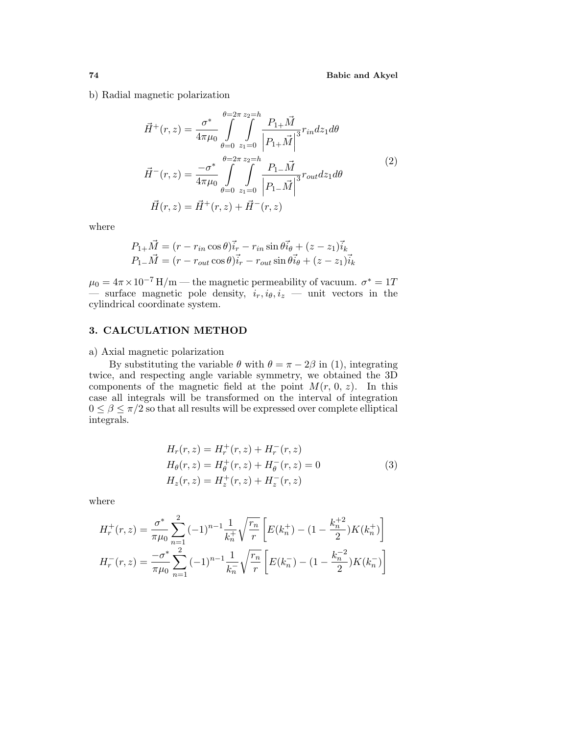b) Radial magnetic polarization

$$
\vec{H}^{+}(r,z) = \frac{\sigma^{*}}{4\pi\mu_{0}} \int_{\theta=0}^{\theta=2\pi} \int_{z_{1}=0}^{z_{2}=h} \frac{P_{1+}\vec{M}}{\left|P_{1+}\vec{M}\right|^{3}} r_{in} dz_{1} d\theta
$$
\n
$$
\vec{H}^{-}(r,z) = \frac{-\sigma^{*}}{4\pi\mu_{0}} \int_{\theta=0}^{\theta=2\pi} \int_{z_{1}=0}^{z_{2}=h} \frac{P_{1-}\vec{M}}{\left|P_{1-}\vec{M}\right|^{3}} r_{out} dz_{1} d\theta
$$
\n
$$
\vec{H}(r,z) = \vec{H}^{+}(r,z) + \vec{H}^{-}(r,z)
$$
\n(2)

where

$$
P_{1+}\vec{M} = (r - r_{in}\cos\theta)\vec{i}_r - r_{in}\sin\theta\vec{i}_\theta + (z - z_1)\vec{i}_k
$$
  

$$
P_{1-}\vec{M} = (r - r_{out}\cos\theta)\vec{i}_r - r_{out}\sin\theta\vec{i}_\theta + (z - z_1)\vec{i}_k
$$

 $\mu_0 = 4\pi \times 10^{-7} \,\mathrm{H/m}$  — the magnetic permeability of vacuum.  $\sigma^* = 17$ — surface magnetic pole density,  $i_r, i_\theta, i_z$  — unit vectors in the cylindrical coordinate system.

#### **3. CALCULATION METHOD**

a) Axial magnetic polarization

By substituting the variable  $\theta$  with  $\theta = \pi - 2\beta$  in (1), integrating twice, and respecting angle variable symmetry, we obtained the 3D components of the magnetic field at the point  $M(r, 0, z)$ . In this case all integrals will be transformed on the interval of integration  $0 \leq \beta \leq \pi/2$  so that all results will be expressed over complete elliptical integrals.

$$
H_r(r, z) = H_r^+(r, z) + H_r^-(r, z)
$$
  
\n
$$
H_{\theta}(r, z) = H_{\theta}^+(r, z) + H_{\theta}^-(r, z) = 0
$$
  
\n
$$
H_z(r, z) = H_z^+(r, z) + H_z^-(r, z)
$$
\n(3)

where

$$
H_r^+(r,z) = \frac{\sigma^*}{\pi \mu_0} \sum_{n=1}^2 (-1)^{n-1} \frac{1}{k_n^+} \sqrt{\frac{r_n}{r}} \left[ E(k_n^+) - (1 - \frac{k_n^+2}{2}) K(k_n^+) \right]
$$
  

$$
H_r^-(r,z) = \frac{-\sigma^*}{\pi \mu_0} \sum_{n=1}^2 (-1)^{n-1} \frac{1}{k_n^-} \sqrt{\frac{r_n}{r}} \left[ E(k_n^-) - (1 - \frac{k_n^-2}{2}) K(k_n^-) \right]
$$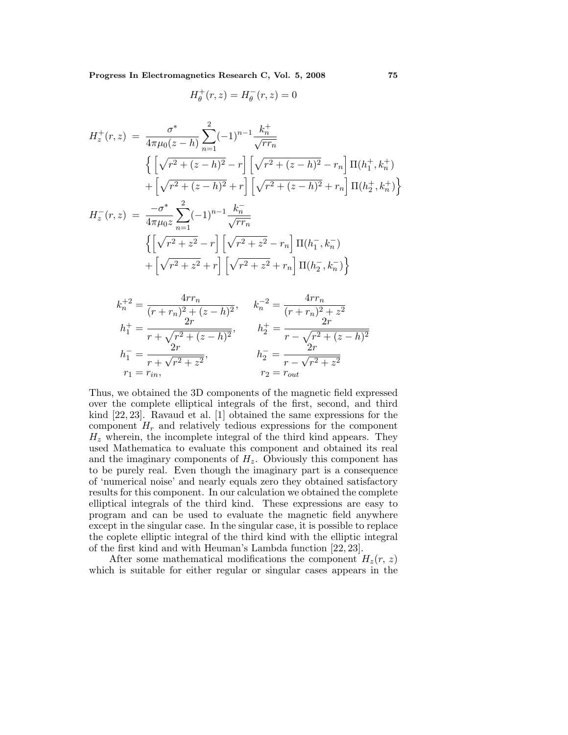**Progress In Electromagnetics Research C, Vol. 5, 2008 75**

$$
H_{\theta}^+(r,z)=H_{\theta}^-(r,z)=0
$$

$$
H_z^+(r,z) = \frac{\sigma^*}{4\pi\mu_0(z-h)} \sum_{n=1}^2 (-1)^{n-1} \frac{k_n^+}{\sqrt{rr_n}}
$$
  

$$
\left\{ \left[ \sqrt{r^2 + (z-h)^2} - r \right] \left[ \sqrt{r^2 + (z-h)^2} - r_n \right] \Pi(h_1^+, k_n^+) \right\}
$$
  

$$
+ \left[ \sqrt{r^2 + (z-h)^2} + r \right] \left[ \sqrt{r^2 + (z-h)^2} + r_n \right] \Pi(h_2^+, k_n^+) \right\}
$$
  

$$
H_z^-(r,z) = \frac{-\sigma^*}{4\pi\mu_0 z} \sum_{n=1}^2 (-1)^{n-1} \frac{k_n^-}{\sqrt{rr_n}}
$$
  

$$
\left\{ \left[ \sqrt{r^2 + z^2} - r \right] \left[ \sqrt{r^2 + z^2} - r_n \right] \Pi(h_1^-, k_n^-)
$$

$$
\left\{ \left[ \sqrt{r^2 + z^2} - r \right] \left[ \sqrt{r^2 + z^2} - r_n \right] \Pi(h_1^-, k_n^-)
$$

$$
+ \left[ \sqrt{r^2 + z^2} + r \right] \left[ \sqrt{r^2 + z^2} + r_n \right] \Pi(h_2^-, k_n^-) \right\}
$$

$$
k_n^{+2} = \frac{4rr_n}{(r+r_n)^2 + (z-h)^2}, \qquad k_n^{-2} = \frac{4rr_n}{(r+r_n)^2 + z^2}
$$
  
\n
$$
h_1^{+} = \frac{2r}{r+\sqrt{r^2 + (z-h)^2}}, \qquad h_2^{+} = \frac{2r}{r-\sqrt{r^2 + (z-h)^2}}
$$
  
\n
$$
h_1^{-} = \frac{2r}{r+\sqrt{r^2 + z^2}}, \qquad h_2^{-} = \frac{2r}{r-\sqrt{r^2 + z^2}}
$$
  
\n
$$
r_1 = r_{in}, \qquad r_2 = r_{out}
$$

Thus, we obtained the 3D components of the magnetic field expressed over the complete elliptical integrals of the first, second, and third kind [22,23]. Ravaud et al. [1] obtained the same expressions for the component  $H_r$  and relatively tedious expressions for the component  $H<sub>z</sub>$  wherein, the incomplete integral of the third kind appears. They used Mathematica to evaluate this component and obtained its real and the imaginary components of  $H_z$ . Obviously this component has to be purely real. Even though the imaginary part is a consequence of 'numerical noise' and nearly equals zero they obtained satisfactory results for this component. In our calculation we obtained the complete elliptical integrals of the third kind. These expressions are easy to program and can be used to evaluate the magnetic field anywhere except in the singular case. In the singular case, it is possible to replace the coplete elliptic integral of the third kind with the elliptic integral of the first kind and with Heuman's Lambda function [22,23].

After some mathematical modifications the component  $H_z(r, z)$ which is suitable for either regular or singular cases appears in the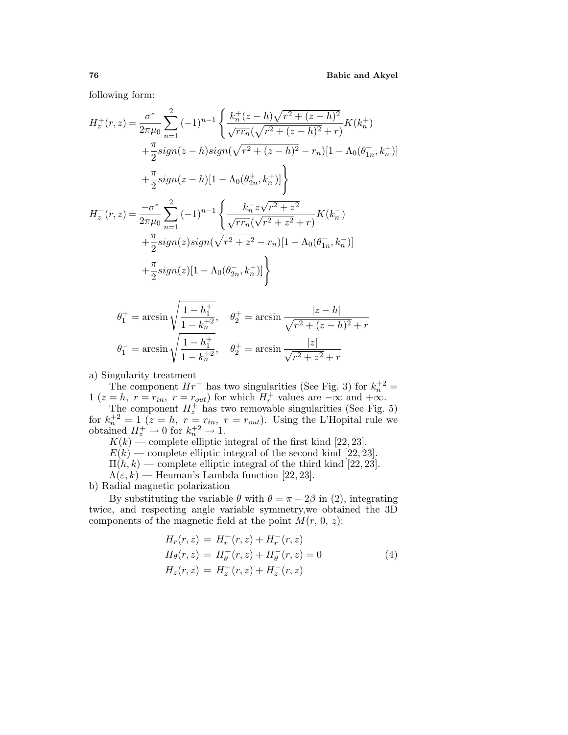following form:

$$
H_z^+(r,z) = \frac{\sigma^*}{2\pi\mu_0} \sum_{n=1}^2 (-1)^{n-1} \left\{ \frac{k_n^+(z-h)\sqrt{r^2 + (z-h)^2}}{\sqrt{rr_n}(\sqrt{r^2 + (z-h)^2} + r)} K(k_n^+) \right.+ \frac{\pi}{2} sign(z-h) sign(\sqrt{r^2 + (z-h)^2} - r_n)[1 - \Lambda_0(\theta_{1n}^+, k_n^+)] + \frac{\pi}{2} sign(z-h)[1 - \Lambda_0(\theta_{2n}^+, k_n^+)] \right\}H_z^-(r,z) = \frac{-\sigma^*}{2\pi\mu_0} \sum_{n=1}^2 (-1)^{n-1} \left\{ \frac{k_n^- z\sqrt{r^2 + z^2}}{\sqrt{rr_n}(\sqrt{r^2 + z^2} + r)} K(k_n^-) \right.+ \frac{\pi}{2} sign(z) sign(\sqrt{r^2 + z^2} - r_n)[1 - \Lambda_0(\theta_{1n}^-, k_n^-)] + \frac{\pi}{2} sign(z)[1 - \Lambda_0(\theta_{2n}^-, k_n^-)]
$$

$$
\theta_1^+ = \arcsin\sqrt{\frac{1 - h_1^+}{1 - k_n^{+2}}}, \quad \theta_2^+ = \arcsin\frac{|z - h|}{\sqrt{r^2 + (z - h)^2} + r}
$$

$$
\theta_1^- = \arcsin\sqrt{\frac{1 - h_1^+}{1 - k_n^{+2}}}, \quad \theta_2^+ = \arcsin\frac{|z|}{\sqrt{r^2 + z^2} + r}
$$

a) Singularity treatment

The component  $Hr^+$  has two singularities (See Fig. 3) for  $k_n^{\dagger 2} =$ 1 ( $z = h$ ,  $r = r_{in}$ ,  $r = r_{out}$ ) for which  $H_r^+$  values are  $-\infty$  and  $+\infty$ .

The component  $H_z^+$  has two removable singularities (See Fig. 5) for  $k_n^{+2} = 1$   $(z = h, r = r_{in}, r = r_{out})$ . Using the L'Hopital rule we obtained  $H_z^+ \rightarrow 0$  for  $k_n^{\pm 2} \rightarrow 1$ .

 $K(k)$  — complete elliptic integral of the first kind [22, 23].

 $E(k)$  — complete elliptic integral of the second kind [22, 23].

 $\Pi(h, k)$  — complete elliptic integral of the third kind [22, 23].

 $\Lambda(\varepsilon, k)$  — Heuman's Lambda function [22, 23].

b) Radial magnetic polarization

By substituting the variable  $\theta$  with  $\theta = \pi - 2\beta$  in (2), integrating twice, and respecting angle variable symmetry, we obtained the 3D components of the magnetic field at the point  $M(r, 0, z)$ :

$$
H_r(r, z) = H_r^+(r, z) + H_r^-(r, z)
$$
  
\n
$$
H_{\theta}(r, z) = H_{\theta}^+(r, z) + H_{\theta}^-(r, z) = 0
$$
  
\n
$$
H_z(r, z) = H_z^+(r, z) + H_z^-(r, z)
$$
\n(4)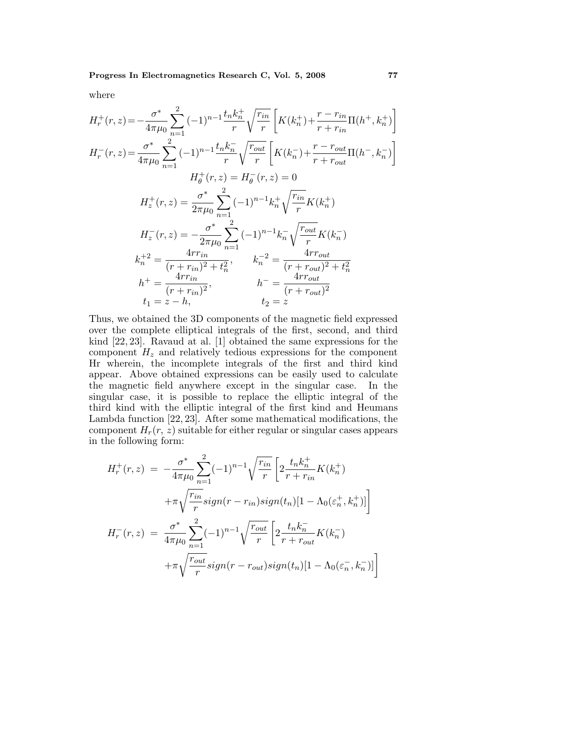where

$$
H_r^+(r, z) = -\frac{\sigma^*}{4\pi\mu_0} \sum_{n=1}^2 (-1)^{n-1} \frac{t_n k_n^+}{r} \sqrt{\frac{r_{in}}{r}} \left[ K(k_n^+) + \frac{r - r_{in}}{r + r_{in}} \Pi(h^+, k_n^+) \right]
$$
  
\n
$$
H_r^-(r, z) = \frac{\sigma^*}{4\pi\mu_0} \sum_{n=1}^2 (-1)^{n-1} \frac{t_n k_n^-}{r} \sqrt{\frac{r_{out}}{r}} \left[ K(k_n^-) + \frac{r - r_{out}}{r + r_{out}} \Pi(h^-, k_n^-) \right]
$$
  
\n
$$
H_{\theta}^+(r, z) = H_{\theta}^-(r, z) = 0
$$
  
\n
$$
H_z^+(r, z) = \frac{\sigma^*}{2\pi\mu_0} \sum_{n=1}^2 (-1)^{n-1} k_n^+ \sqrt{\frac{r_{in}}{r}} K(k_n^+)
$$
  
\n
$$
H_z^-(r, z) = -\frac{\sigma^*}{2\pi\mu_0} \sum_{n=1}^2 (-1)^{n-1} k_n^- \sqrt{\frac{r_{out}}{r}} K(k_n^-)
$$
  
\n
$$
k_n^{+2} = \frac{4rr_{in}}{(r + r_{in})^2 + t_n^2}, \qquad k_n^{-2} = \frac{4rr_{out}}{(r + r_{out})^2 + t_n^2}
$$
  
\n
$$
h^+ = \frac{4rr_{in}}{(r + r_{in})^2}, \qquad h^- = \frac{4rr_{out}}{(r + r_{out})^2}
$$
  
\n
$$
t_1 = z - h, \qquad t_2 = z
$$

Thus, we obtained the 3D components of the magnetic field expressed over the complete elliptical integrals of the first, second, and third kind [22,23]. Ravaud at al. [1] obtained the same expressions for the component  $H<sub>z</sub>$  and relatively tedious expressions for the component Hr wherein, the incomplete integrals of the first and third kind appear. Above obtained expressions can be easily used to calculate the magnetic field anywhere except in the singular case. In the singular case, it is possible to replace the elliptic integral of the third kind with the elliptic integral of the first kind and Heumans Lambda function  $[22, 23]$ . After some mathematical modifications, the component  $H_r(r, z)$  suitable for either regular or singular cases appears in the following form:

$$
H_r^+(r,z) = -\frac{\sigma^*}{4\pi\mu_0} \sum_{n=1}^2 (-1)^{n-1} \sqrt{\frac{r_{in}}{r}} \left[ 2\frac{t_n k_n^+}{r + r_{in}} K(k_n^+) \right]
$$

$$
+ \pi \sqrt{\frac{r_{in}}{r}} sign(r - r_{in}) sign(t_n) [1 - \Lambda_0(\varepsilon_n^+, k_n^+)] \right]
$$

$$
H_r^-(r,z) = \frac{\sigma^*}{4\pi\mu_0} \sum_{n=1}^2 (-1)^{n-1} \sqrt{\frac{r_{out}}{r}} \left[ 2\frac{t_n k_n^-}{r + r_{out}} K(k_n^-) + \pi \sqrt{\frac{r_{out}}{r}} sign(r - r_{out}) sign(t_n) [1 - \Lambda_0(\varepsilon_n^-, k_n^-)] \right]
$$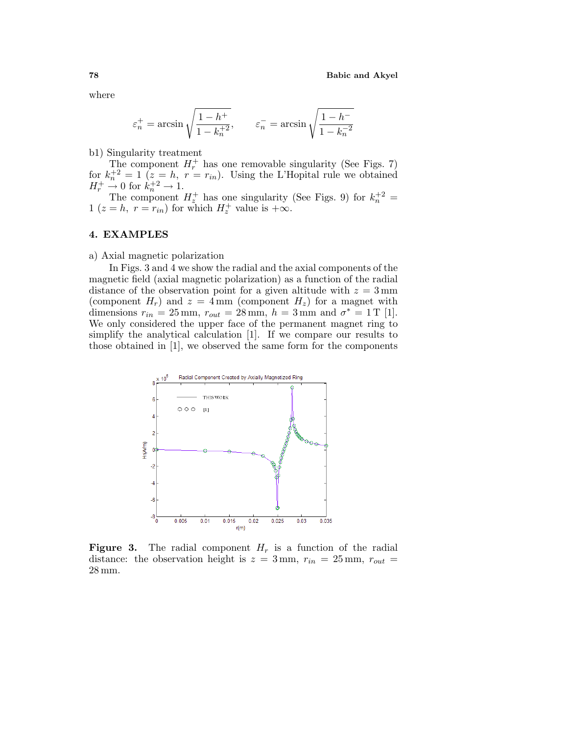where

$$
\varepsilon_n^+ = \arcsin\sqrt{\frac{1 - h^+}{1 - k_n^+}^2}, \qquad \varepsilon_n^- = \arcsin\sqrt{\frac{1 - h^-}{1 - k_n^-}^2}
$$

b1) Singularity treatment

The component  $H_r^+$  has one removable singularity (See Figs. 7) for  $k_n^{+2} = 1$   $(z = h, r = r_{in})$ . Using the L'Hopital rule we obtained  $H_r^+ \stackrel{\kappa}{\rightarrow} 0$  for  $k_n^+ \stackrel{?}{\rightarrow} 1$ .

The component  $H_z^+$  has one singularity (See Figs. 9) for  $k_n^{\dagger 2} =$ 1 ( $z = h$ ,  $r = r_{in}$ ) for which  $H_z^+$  value is  $+\infty$ .

### **4. EXAMPLES**

### a) Axial magnetic polarization

In Figs. 3 and 4 we show the radial and the axial components of the magnetic field (axial magnetic polarization) as a function of the radial distance of the observation point for a given altitude with  $z = 3 \,\text{mm}$ (component  $H_r$ ) and  $z = 4$  mm (component  $H_z$ ) for a magnet with dimensions  $r_{in} = 25$  mm,  $r_{out} = 28$  mm,  $h = 3$  mm and  $\sigma^* = 1$  T [1]. We only considered the upper face of the permanent magnet ring to simplify the analytical calculation [1]. If we compare our results to those obtained in  $[1]$ , we observed the same form for the components



**Figure 3.** The radial component  $H_r$  is a function of the radial distance: the observation height is  $z = 3$  mm,  $r_{in} = 25$  mm,  $r_{out} =$ 28 mm.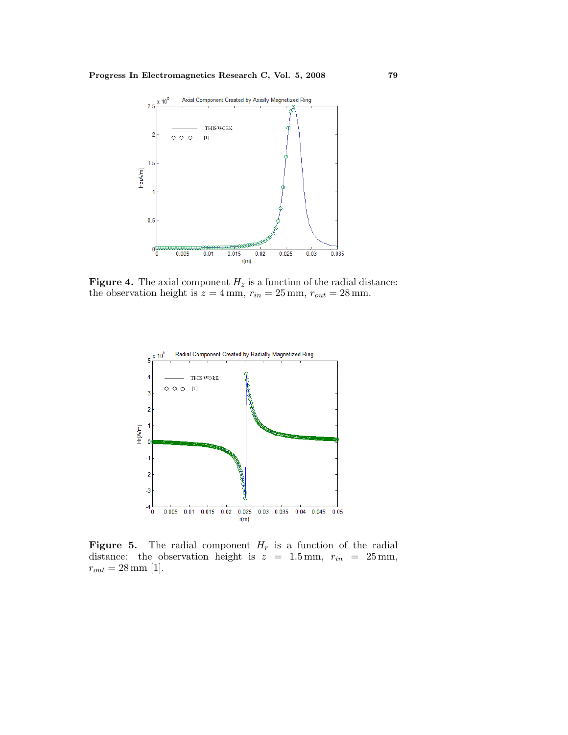

**Figure 4.** The axial component  $H_z$  is a function of the radial distance: the observation height is  $z = 4$  mm,  $r_{in} = 25$  mm,  $r_{out} = 28$  mm.



**Figure 5.** The radial component  $H_r$  is a function of the radial distance: the observation height is  $z = 1.5$  mm,  $r_{in} = 25$  mm,  $r_{out}=28\,\rm{mm}$  [1].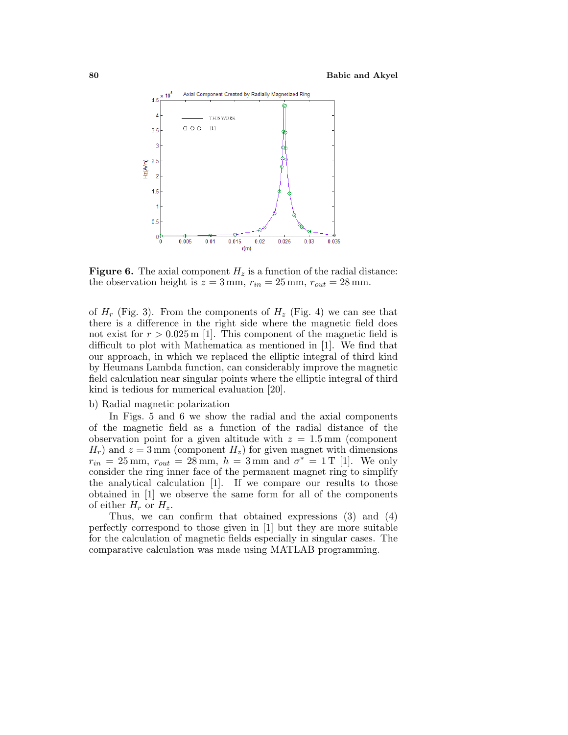

**Figure 6.** The axial component  $H_z$  is a function of the radial distance: the observation height is  $z = 3$  mm,  $r_{in} = 25$  mm,  $r_{out} = 28$  mm.

of  $H_r$  (Fig. 3). From the components of  $H_z$  (Fig. 4) we can see that there is a difference in the right side where the magnetic field does not exist for  $r > 0.025$  m [1]. This component of the magnetic field is difficult to plot with Mathematica as mentioned in [1]. We find that our approach, in which we replaced the elliptic integral of third kind by Heumans Lambda function, can considerably improve the magnetic field calculation near singular points where the elliptic integral of third kind is tedious for numerical evaluation [20].

#### b) Radial magnetic polarization

In Figs. 5 and 6 we show the radial and the axial components of the magnetic field as a function of the radial distance of the observation point for a given altitude with  $z = 1.5$  mm (component  $H_r$ ) and  $z = 3$  mm (component  $H_z$ ) for given magnet with dimensions  $r_{in} = 25 \,\text{mm}, r_{out} = 28 \,\text{mm}, h = 3 \,\text{mm} \text{ and } \sigma^* = 1 \,\text{T}$  [1]. We only consider the ring inner face of the permanent magnet ring to simplify the analytical calculation [1]. If we compare our results to those obtained in [1] we observe the same form for all of the components of either  $H_r$  or  $H_z$ .

Thus, we can confirm that obtained expressions  $(3)$  and  $(4)$ perfectly correspond to those given in [1] but they are more suitable for the calculation of magnetic fields especially in singular cases. The comparative calculation was made using MATLAB programming.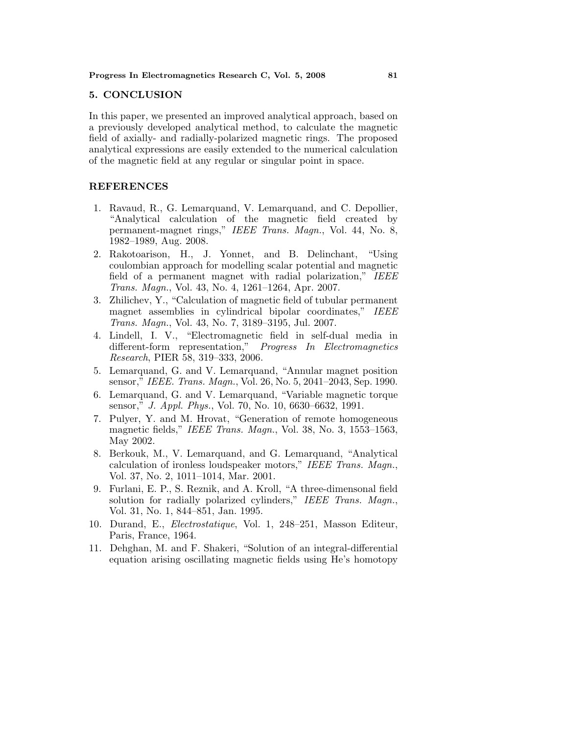#### **5. CONCLUSION**

In this paper, we presented an improved analytical approach, based on a previously developed analytical method, to calculate the magnetic field of axially- and radially-polarized magnetic rings. The proposed analytical expressions are easily extended to the numerical calculation of the magnetic field at any regular or singular point in space.

## **REFERENCES**

- 1. Ravaud, R., G. Lemarquand, V. Lemarquand, and C. Depollier, "Analytical calculation of the magnetic field created by permanent-magnet rings," IEEE Trans. Magn., Vol. 44, No. 8, 1982–1989,Aug. 2008.
- 2. Rakotoarison,H.,J. Yonnet,and B. Delinchant,"Using coulombian approach for modelling scalar potential and magnetic field of a permanent magnet with radial polarization," IEEE Trans. Magn., Vol. 43, No. 4, 1261–1264, Apr. 2007.
- 3. Zhilichev,Y.,"Calculation of magnetic field of tubular permanent magnet assemblies in cylindrical bipolar coordinates," IEEE Trans. Magn., Vol. 43, No. 7, 3189-3195, Jul. 2007.
- 4. Lindell,I. V.,"Electromagnetic field in self-dual media in different-form representation," Progress In Electromagnetics Research, PIER 58, 319–333, 2006.
- 5. Lemarquand,G. and V. Lemarquand,"Annular magnet position sensor," IEEE. Trans. Magn., Vol. 26, No. 5, 2041–2043, Sep. 1990.
- 6. Lemarquand,G. and V. Lemarquand,"Variable magnetic torque sensor," J. Appl. Phys., Vol. 70, No. 10, 6630–6632, 1991.
- 7. Pulyer,Y. and M. Hrovat,"Generation of remote homogeneous magnetic fields," IEEE Trans. Magn., Vol. 38, No. 3,  $1553-1563$ , May 2002.
- 8. Berkouk, M., V. Lemarquand, and G. Lemarquand, "Analytical calculation of ironless loudspeaker motors," IEEE Trans. Magn., Vol. 37, No. 2, 1011–1014, Mar. 2001.
- 9. Furlani,E. P.,S. Reznik,and A. Kroll,"A three-dimensonal field solution for radially polarized cylinders," IEEE Trans. Magn., Vol. 31, No. 1, 844–851, Jan. 1995.
- 10. Durand, E., Electrostatique, Vol. 1, 248-251, Masson Editeur, Paris, France, 1964.
- 11. Dehghan, M. and F. Shakeri, "Solution of an integral-differential equation arising oscillating magnetic fields using He's homotopy